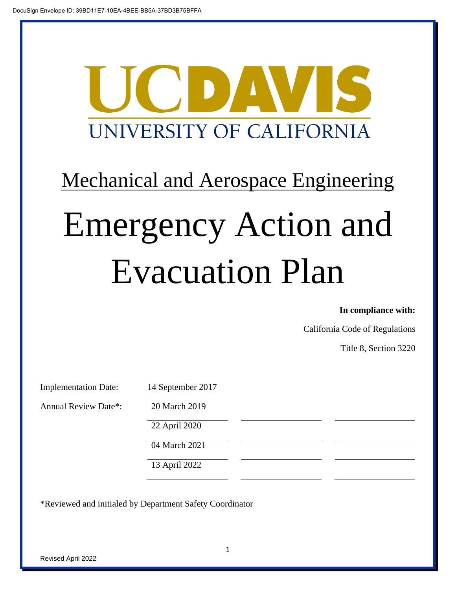

# Mechanical and Aerospace Engineering Emergency Action and Evacuation Plan

#### **In compliance with:**

California Code of Regulations

Title 8, Section 3220

| <b>Implementation Date:</b> |  |
|-----------------------------|--|
|                             |  |

Annual Review Date\*: 20 March 2019

4 September 2017

22 April 2020

04 March 2021

13 April 2022

\*Reviewed and initialed by Department Safety Coordinator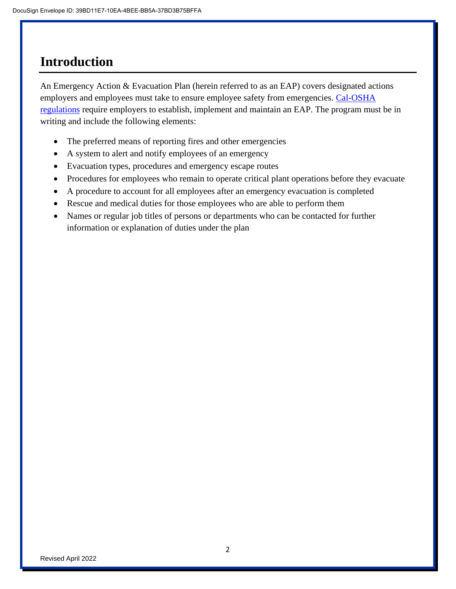# **Introduction**

An Emergency Action & Evacuation Plan (herein referred to as an EAP) covers designated actions employers and employees must take to ensure employee safety from emergencies. Cal-OSHA [regulations](https://www.dir.ca.gov/title8/3220.html) require employers to establish, implement and maintain an EAP. The program must be in writing and include the following elements:

- The preferred means of reporting fires and other emergencies
- A system to alert and notify employees of an emergency
- Evacuation types, procedures and emergency escape routes
- Procedures for employees who remain to operate critical plant operations before they evacuate
- A procedure to account for all employees after an emergency evacuation is completed
- Rescue and medical duties for those employees who are able to perform them
- Names or regular job titles of persons or departments who can be contacted for further information or explanation of duties under the plan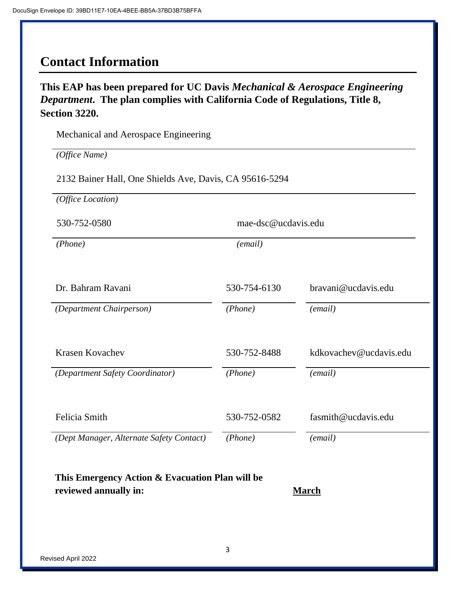## **Contact Information**

**This EAP has been prepared for UC Davis** *Mechanical & Aerospace Engineering Department***. The plan complies with California Code of Regulations, Title 8, Section 3220.**

Mechanical and Aerospace Engineering

*(Office Name)*

2132 Bainer Hall, One Shields Ave, Davis, CA 95616-5294

*(Office Location)*

530-752-0580 mae-dsc@ucdavis.edu

*(Phone) (email)*

Dr. Bahram Ravani 530-754-6130 bravani@ucdavis.edu

*(Department Chairperson) (Phone) (email)*

Krasen Kovachev 530-752-8488 kdkovachev@ucdavis.edu

*(Department Safety Coordinator) (Phone) (email)*

Felicia Smith 530-752-0582 fasmith@ucdavis.edu

*(Dept Manager, Alternate Safety Contact) (Phone) (email)*

**This Emergency Action & Evacuation Plan will be reviewed annually in: March**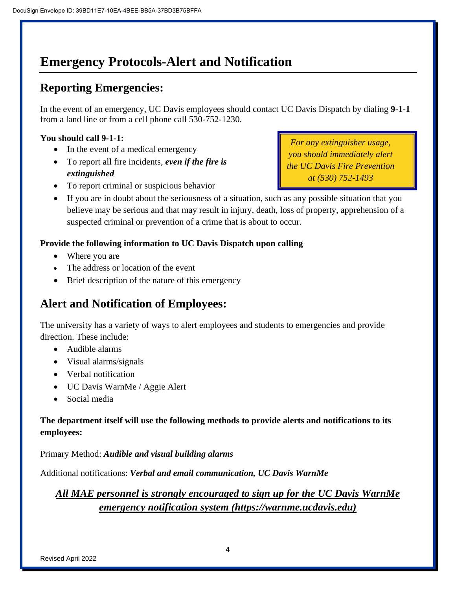# **Emergency Protocols-Alert and Notification**

## **Reporting Emergencies:**

In the event of an emergency, UC Davis employees should contact UC Davis Dispatch by dialing **9-1-1** from a land line or from a cell phone call 530-752-1230.

## **You should call 9-1-1:**

- In the event of a medical emergency
- To report all fire incidents, *even if the fire is extinguished*

*For any extinguisher usage, you should immediately alert the UC Davis Fire Prevention at (530) 752-1493*

- To report criminal or suspicious behavior
- If you are in doubt about the seriousness of a situation, such as any possible situation that you believe may be serious and that may result in injury, death, loss of property, apprehension of a suspected criminal or prevention of a crime that is about to occur.

## **Provide the following information to UC Davis Dispatch upon calling**

- Where you are
- The address or location of the event
- Brief description of the nature of this emergency

## **Alert and Notification of Employees:**

The university has a variety of ways to alert employees and students to emergencies and provide direction. These include:

- Audible alarms
- Visual alarms/signals
- Verbal notification
- UC Davis WarnMe / Aggie Alert
- Social media

## **The department itself will use the following methods to provide alerts and notifications to its employees:**

Primary Method: *Audible and visual building alarms*

Additional notifications: *Verbal and email communication, UC Davis WarnMe*

## *All MAE personnel is strongly encouraged to sign up for the UC Davis WarnMe emergency notification system (https://warnme.ucdavis.edu)*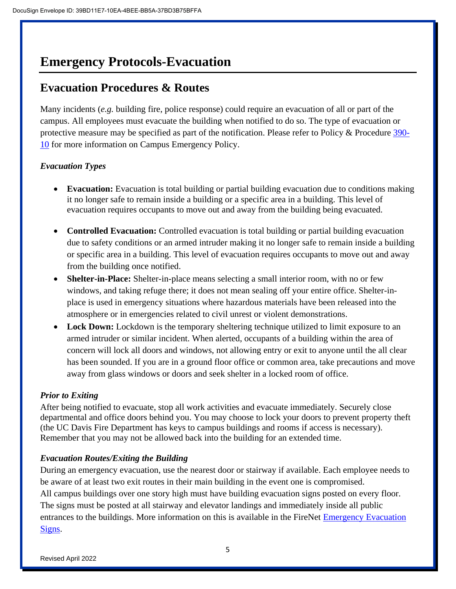# **Emergency Protocols-Evacuation**

## **Evacuation Procedures & Routes**

Many incidents (*e.g.* building fire, police response) could require an evacuation of all or part of the campus. All employees must evacuate the building when notified to do so. The type of evacuation or protective measure may be specified as part of the notification. Please refer to Policy & Procedure [390-](http://manuals.ucdavis.edu/PPM/390/390-10.pdf) [10](http://manuals.ucdavis.edu/PPM/390/390-10.pdf) for more information on Campus Emergency Policy.

## *Evacuation Types*

- **Evacuation:** Evacuation is total building or partial building evacuation due to conditions making it no longer safe to remain inside a building or a specific area in a building. This level of evacuation requires occupants to move out and away from the building being evacuated.
- **Controlled Evacuation:** Controlled evacuation is total building or partial building evacuation due to safety conditions or an armed intruder making it no longer safe to remain inside a building or specific area in a building. This level of evacuation requires occupants to move out and away from the building once notified.
- **Shelter-in-Place:** Shelter-in-place means selecting a small interior room, with no or few windows, and taking refuge there; it does not mean sealing off your entire office. Shelter-inplace is used in emergency situations where hazardous materials have been released into the atmosphere or in emergencies related to civil unrest or violent demonstrations.
- Lock Down: Lockdown is the temporary sheltering technique utilized to limit exposure to an armed intruder or similar incident. When alerted, occupants of a building within the area of concern will lock all doors and windows, not allowing entry or exit to anyone until the all clear has been sounded. If you are in a ground floor office or common area, take precautions and move away from glass windows or doors and seek shelter in a locked room of office.

## *Prior to Exiting*

After being notified to evacuate, stop all work activities and evacuate immediately. Securely close departmental and office doors behind you. You may choose to lock your doors to prevent property theft (the UC Davis Fire Department has keys to campus buildings and rooms if access is necessary). Remember that you may not be allowed back into the building for an extended time.

## *Evacuation Routes/Exiting the Building*

During an emergency evacuation, use the nearest door or stairway if available. Each employee needs to be aware of at least two exit routes in their main building in the event one is compromised. All campus buildings over one story high must have building evacuation signs posted on every floor. The signs must be posted at all stairway and elevator landings and immediately inside all public entrances to the buildings. More information on this is available in the FireNet [Emergency Evacuation](http://safetyservices.ucdavis.edu/ps/fp/fn/ee/emergencyEvacuationSigns.pdf/view)  [Signs.](http://safetyservices.ucdavis.edu/ps/fp/fn/ee/emergencyEvacuationSigns.pdf/view)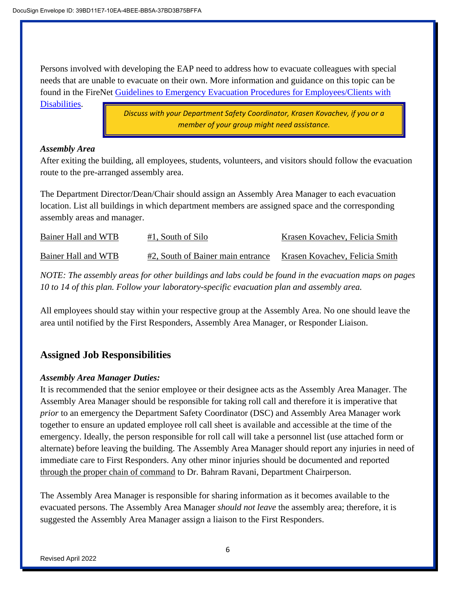Persons involved with developing the EAP need to address how to evacuate colleagues with special needs that are unable to evacuate on their own. More information and guidance on this topic can be found in the FireNet [Guidelines to Emergency Evacuation Procedures for Employees/Clients with](http://safetyservices.ucdavis.edu/ps/fp/fn/ee/emergencyEvacuationOfDisabled.pdf/view) 

[Disabilities.](http://safetyservices.ucdavis.edu/ps/fp/fn/ee/emergencyEvacuationOfDisabled.pdf/view)

*Discuss with your Department Safety Coordinator, Krasen Kovachev, if you or a member of your group might need assistance.*

### *Assembly Area*

After exiting the building, all employees, students, volunteers, and visitors should follow the evacuation route to the pre-arranged assembly area.

The Department Director/Dean/Chair should assign an Assembly Area Manager to each evacuation location. List all buildings in which department members are assigned space and the corresponding assembly areas and manager.

| Bainer Hall and WTB | $#1$ , South of Silo              | Krasen Kovachev, Felicia Smith |
|---------------------|-----------------------------------|--------------------------------|
| Bainer Hall and WTB | #2, South of Bainer main entrance | Krasen Kovachev, Felicia Smith |

*NOTE: The assembly areas for other buildings and labs could be found in the evacuation maps on pages 10 to 14 of this plan. Follow your laboratory-specific evacuation plan and assembly area.*

All employees should stay within your respective group at the Assembly Area. No one should leave the area until notified by the First Responders, Assembly Area Manager, or Responder Liaison.

## **Assigned Job Responsibilities**

## *Assembly Area Manager Duties:*

It is recommended that the senior employee or their designee acts as the Assembly Area Manager. The Assembly Area Manager should be responsible for taking roll call and therefore it is imperative that *prior* to an emergency the Department Safety Coordinator (DSC) and Assembly Area Manager work together to ensure an updated employee roll call sheet is available and accessible at the time of the emergency. Ideally, the person responsible for roll call will take a personnel list (use attached form or alternate) before leaving the building. The Assembly Area Manager should report any injuries in need of immediate care to First Responders. Any other minor injuries should be documented and reported through the proper chain of command to Dr. Bahram Ravani, Department Chairperson.

The Assembly Area Manager is responsible for sharing information as it becomes available to the evacuated persons. The Assembly Area Manager *should not leave* the assembly area; therefore, it is suggested the Assembly Area Manager assign a liaison to the First Responders.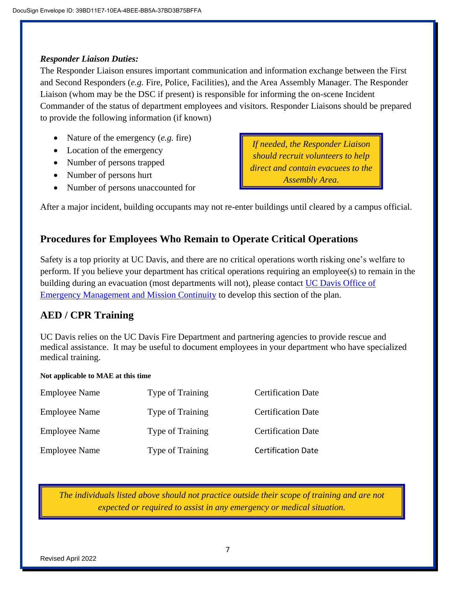### *Responder Liaison Duties:*

The Responder Liaison ensures important communication and information exchange between the First and Second Responders (*e.g.* Fire, Police, Facilities), and the Area Assembly Manager. The Responder Liaison (whom may be the DSC if present) is responsible for informing the on-scene Incident Commander of the status of department employees and visitors. Responder Liaisons should be prepared to provide the following information (if known)

- Nature of the emergency (*e.g.* fire)
- Location of the emergency
- Number of persons trapped
- Number of persons hurt
- Number of persons unaccounted for

*If needed, the Responder Liaison should recruit volunteers to help direct and contain evacuees to the Assembly Area.*

After a major incident, building occupants may not re-enter buildings until cleared by a campus official.

## **Procedures for Employees Who Remain to Operate Critical Operations**

Safety is a top priority at UC Davis, and there are no critical operations worth risking one's welfare to perform. If you believe your department has critical operations requiring an employee(s) to remain in the building during an evacuation (most departments will not), please contact [UC Davis Office of](mailto:prepare@ucdavis.edu)  [Emergency Management and Mission Continuity](mailto:prepare@ucdavis.edu) to develop this section of the plan.

## **AED / CPR Training**

UC Davis relies on the UC Davis Fire Department and partnering agencies to provide rescue and medical assistance. It may be useful to document employees in your department who have specialized medical training.

#### **Not applicable to MAE at this time**

| <b>Employee Name</b> | <b>Type of Training</b> | <b>Certification Date</b> |
|----------------------|-------------------------|---------------------------|
| <b>Employee Name</b> | <b>Type of Training</b> | <b>Certification Date</b> |
| <b>Employee Name</b> | <b>Type of Training</b> | <b>Certification Date</b> |
| <b>Employee Name</b> | <b>Type of Training</b> | <b>Certification Date</b> |

*The individuals listed above should not practice outside their scope of training and are not expected or required to assist in any emergency or medical situation.*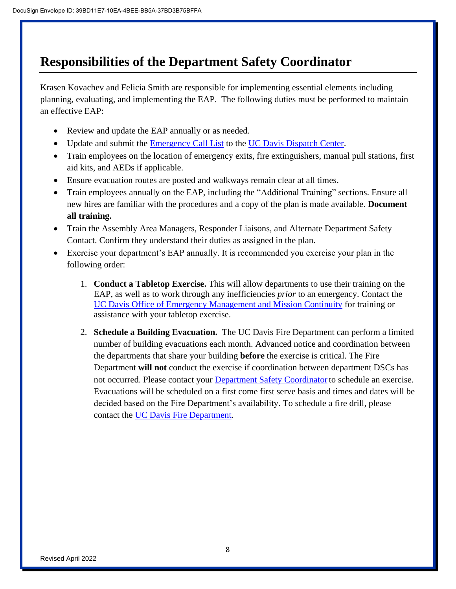# **Responsibilities of the Department Safety Coordinator**

Krasen Kovachev and Felicia Smith are responsible for implementing essential elements including planning, evaluating, and implementing the EAP. The following duties must be performed to maintain an effective EAP:

- Review and update the EAP annually or as needed.
- Update and submit the [Emergency Call List](https://police.ucdavis.edu/sites/g/files/dgvnsk3476/files/inline-files/Emergency_Call_List_Form.pdf) to the [UC Davis Dispatch Center.](mailto:letgarcia@ucdavis.edu)
- Train employees on the location of emergency exits, fire extinguishers, manual pull stations, first aid kits, and AEDs if applicable.
- Ensure evacuation routes are posted and walkways remain clear at all times.
- Train employees annually on the EAP, including the "Additional Training" sections. Ensure all new hires are familiar with the procedures and a copy of the plan is made available. **Document all training.**
- Train the Assembly Area Managers, Responder Liaisons, and Alternate Department Safety Contact. Confirm they understand their duties as assigned in the plan.
- Exercise your department's EAP annually. It is recommended you exercise your plan in the following order:
	- 1. **Conduct a Tabletop Exercise.** This will allow departments to use their training on the EAP, as well as to work through any inefficiencies *prior* to an emergency. Contact the [UC Davis Office of Emergency Management and Mission Continuity](mailto:prepare@ucdavis.edu) for training or assistance with your tabletop exercise.
	- 2. **Schedule a Building Evacuation.** The UC Davis Fire Department can perform a limited number of building evacuations each month. Advanced notice and coordination between the departments that share your building **before** the exercise is critical. The Fire Department **will not** conduct the exercise if coordination between department DSCs has not occurred. Please contact your Department Safety Coordinator to schedule an exercise. Evacuations will be scheduled on a first come first serve basis and times and dates will be decided based on the Fire Department's availability. To schedule a fire drill, please contact the [UC Davis Fire Department.](https://fire.ucdavis.edu/form/campus-fire-drill-request)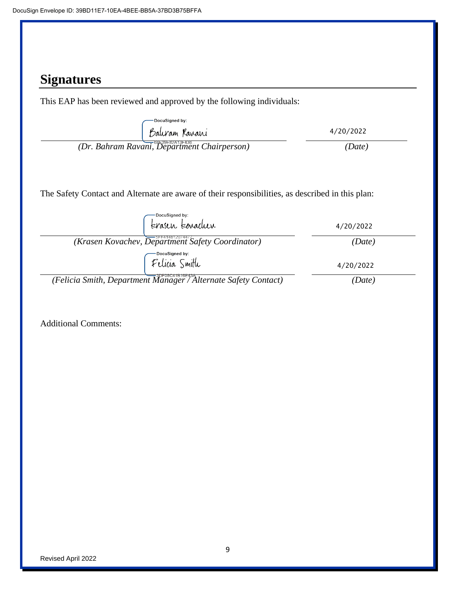# **Signatures**

This EAP has been reviewed and approved by the following individuals:

| DocuSigned by:                                                                                   |           |
|--------------------------------------------------------------------------------------------------|-----------|
| Baluram Karani                                                                                   | 4/20/2022 |
| (Dr. Bahram Ravani, Department Chairperson)                                                      | (Date)    |
|                                                                                                  |           |
|                                                                                                  |           |
| The Safety Contact and Alternate are aware of their responsibilities, as described in this plan: |           |
|                                                                                                  |           |
| DocuSigned by:                                                                                   |           |
| terasen terradur                                                                                 | 4/20/2022 |
| $(Krasen Kovachev, \overline{Department\ Safety\ Coordinator})$                                  | (Date)    |
| DocuSigned by:                                                                                   |           |
| Felicia Smith                                                                                    | 4/20/2022 |
|                                                                                                  |           |
| (Felicia Smith, Department Manager / Alternate Safety Contact)                                   | 'Date)    |

Additional Comments: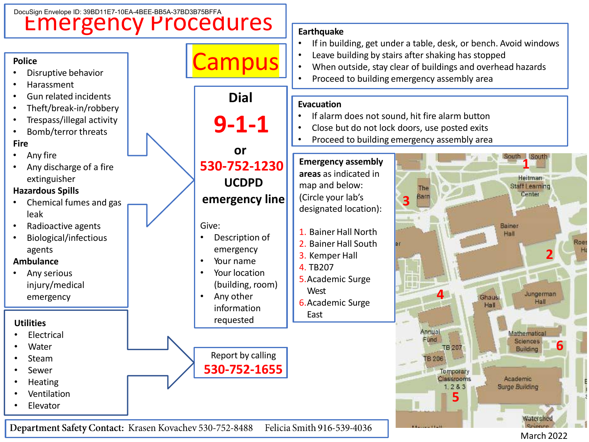

Department Safety Contact: Krasen Kovachev 530-752-8488 Felicia Smith 916-539-4036

March 2022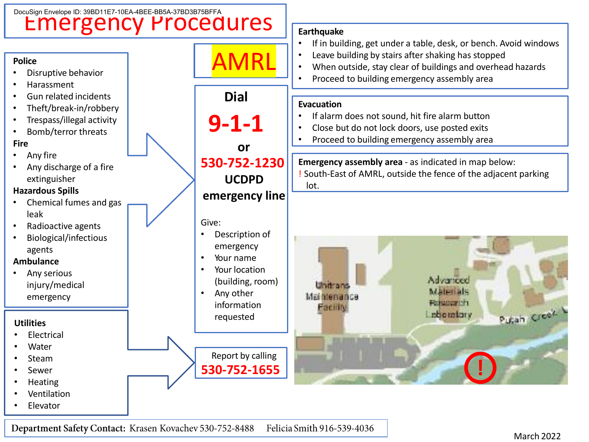

Department Safety Contact: Krasen Kovachev 530-752-8488 Felicia Smith 916-539-4036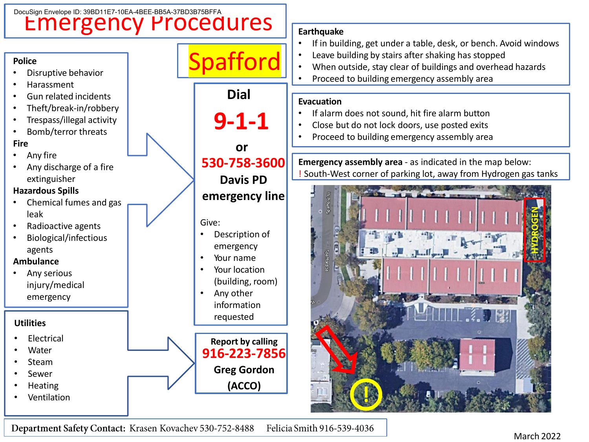

Department Safety Contact: Krasen Kovachev 530-752-8488 Felicia Smith 916-539-4036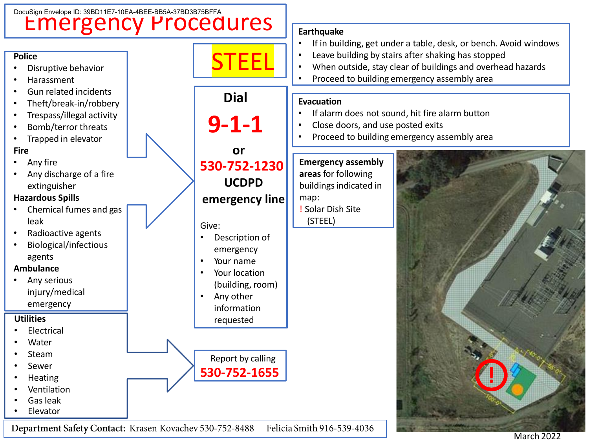

March 2022

Department Safety Contact: Krasen Kovachev 530-752-8488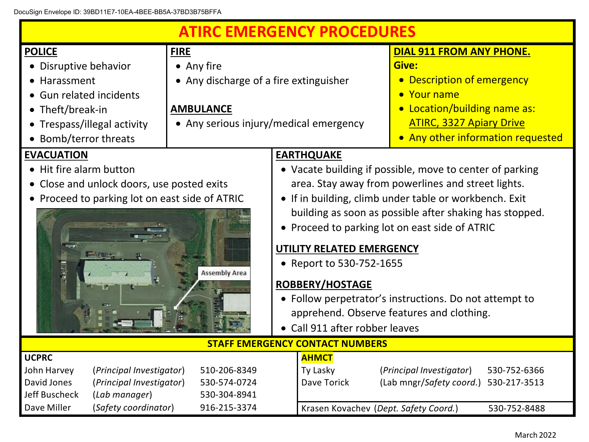DocuSign Envelope ID: 39BD11E7-10EA-4BEE-BB5A-37BD3B75BFFA

| <b>ATIRC EMERGENCY PROCEDURES</b>                                                                            |                                                                                                          |                                                    |                                                          |                                          |  |
|--------------------------------------------------------------------------------------------------------------|----------------------------------------------------------------------------------------------------------|----------------------------------------------------|----------------------------------------------------------|------------------------------------------|--|
| <b>POLICE</b>                                                                                                | <b>FIRE</b>                                                                                              |                                                    |                                                          | <b>DIAL 911 FROM ANY PHONE.</b>          |  |
| • Disruptive behavior                                                                                        | • Any fire                                                                                               |                                                    |                                                          | Give:                                    |  |
| • Harassment                                                                                                 | • Any discharge of a fire extinguisher                                                                   |                                                    |                                                          | • Description of emergency               |  |
| • Gun related incidents                                                                                      |                                                                                                          |                                                    |                                                          | • Your name                              |  |
| • Theft/break-in                                                                                             | <b>AMBULANCE</b>                                                                                         |                                                    |                                                          | • Location/building name as:             |  |
| • Trespass/illegal activity                                                                                  | • Any serious injury/medical emergency                                                                   |                                                    |                                                          | <b>ATIRC, 3327 Apiary Drive</b>          |  |
| Bomb/terror threats                                                                                          |                                                                                                          |                                                    |                                                          | • Any other information requested        |  |
| <b>EVACUATION</b>                                                                                            |                                                                                                          |                                                    | <b>EARTHQUAKE</b>                                        |                                          |  |
| • Hit fire alarm button                                                                                      |                                                                                                          |                                                    | • Vacate building if possible, move to center of parking |                                          |  |
| • Close and unlock doors, use posted exits                                                                   |                                                                                                          | area. Stay away from powerlines and street lights. |                                                          |                                          |  |
|                                                                                                              | • If in building, climb under table or workbench. Exit<br>• Proceed to parking lot on east side of ATRIC |                                                    |                                                          |                                          |  |
|                                                                                                              | building as soon as possible after shaking has stopped.                                                  |                                                    |                                                          |                                          |  |
| • Proceed to parking lot on east side of ATRIC                                                               |                                                                                                          |                                                    |                                                          |                                          |  |
|                                                                                                              |                                                                                                          |                                                    |                                                          |                                          |  |
| UTILITY RELATED EMERGENCY<br>$-44.05$                                                                        |                                                                                                          |                                                    |                                                          |                                          |  |
| • Report to 530-752-1655<br><b>Assembly Area</b>                                                             |                                                                                                          |                                                    |                                                          |                                          |  |
| ROBBERY/HOSTAGE                                                                                              |                                                                                                          |                                                    |                                                          |                                          |  |
| • Follow perpetrator's instructions. Do not attempt to                                                       |                                                                                                          |                                                    |                                                          |                                          |  |
| apprehend. Observe features and clothing.                                                                    |                                                                                                          |                                                    |                                                          |                                          |  |
| • Call 911 after robber leaves                                                                               |                                                                                                          |                                                    |                                                          |                                          |  |
| <b>STAFF EMERGENCY CONTACT NUMBERS</b>                                                                       |                                                                                                          |                                                    |                                                          |                                          |  |
| <b>UCPRC</b>                                                                                                 |                                                                                                          |                                                    | <b>AHMCT</b>                                             |                                          |  |
| John Harvey<br>(Principal Investigator)                                                                      | 510-206-8349                                                                                             |                                                    | Ty Lasky                                                 | (Principal Investigator)<br>530-752-6366 |  |
| David Jones<br>(Principal Investigator)                                                                      | 530-574-0724                                                                                             |                                                    | Dave Torick                                              | (Lab mngr/Safety coord.)<br>530-217-3513 |  |
| Jeff Buscheck<br>(Lab manager)                                                                               | 530-304-8941                                                                                             |                                                    |                                                          |                                          |  |
| (Safety coordinator)<br>Dave Miller<br>916-215-3374<br>Krasen Kovachev (Dept. Safety Coord.)<br>530-752-8488 |                                                                                                          |                                                    |                                                          |                                          |  |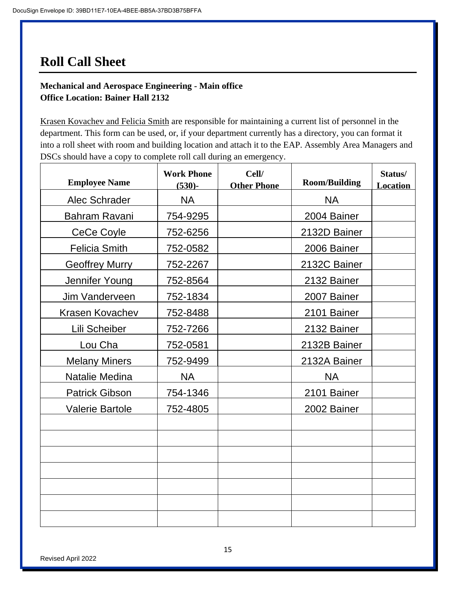# **Roll Call Sheet**

## **Mechanical and Aerospace Engineering - Main office Office Location: Bainer Hall 2132**

Krasen Kovachev and Felicia Smith are responsible for maintaining a current list of personnel in the department. This form can be used, or, if your department currently has a directory, you can format it into a roll sheet with room and building location and attach it to the EAP. Assembly Area Managers and DSCs should have a copy to complete roll call during an emergency.

| <b>Employee Name</b>   | <b>Work Phone</b><br>$(530)$ - | Cell/<br><b>Other Phone</b> | <b>Room/Building</b> | Status/<br><b>Location</b> |
|------------------------|--------------------------------|-----------------------------|----------------------|----------------------------|
| Alec Schrader          | <b>NA</b>                      |                             | <b>NA</b>            |                            |
| Bahram Ravani          | 754-9295                       |                             | 2004 Bainer          |                            |
| CeCe Coyle             | 752-6256                       |                             | 2132D Bainer         |                            |
| <b>Felicia Smith</b>   | 752-0582                       |                             | 2006 Bainer          |                            |
| <b>Geoffrey Murry</b>  | 752-2267                       |                             | 2132C Bainer         |                            |
| Jennifer Young         | 752-8564                       |                             | 2132 Bainer          |                            |
| Jim Vanderveen         | 752-1834                       |                             | 2007 Bainer          |                            |
| Krasen Kovachev        | 752-8488                       |                             | 2101 Bainer          |                            |
| Lili Scheiber          | 752-7266                       |                             | 2132 Bainer          |                            |
| Lou Cha                | 752-0581                       |                             | 2132B Bainer         |                            |
| <b>Melany Miners</b>   | 752-9499                       |                             | 2132A Bainer         |                            |
| Natalie Medina         | <b>NA</b>                      |                             | <b>NA</b>            |                            |
| <b>Patrick Gibson</b>  | 754-1346                       |                             | 2101 Bainer          |                            |
| <b>Valerie Bartole</b> | 752-4805                       |                             | 2002 Bainer          |                            |
|                        |                                |                             |                      |                            |
|                        |                                |                             |                      |                            |
|                        |                                |                             |                      |                            |
|                        |                                |                             |                      |                            |
|                        |                                |                             |                      |                            |
|                        |                                |                             |                      |                            |
|                        |                                |                             |                      |                            |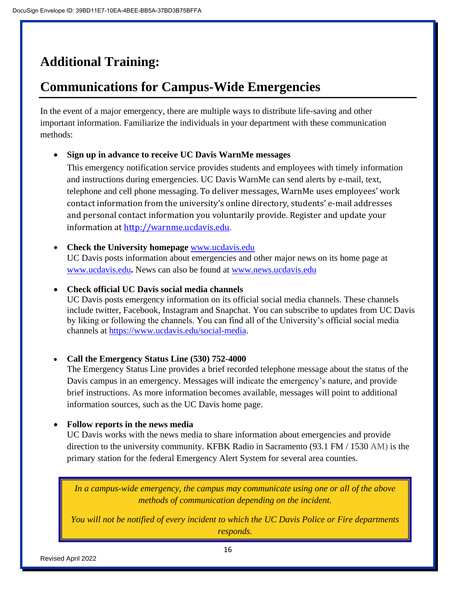# **Additional Training:**

# **Communications for Campus-Wide Emergencies**

In the event of a major emergency, there are multiple ways to distribute life-saving and other important information. Familiarize the individuals in your department with these communication methods:

### • **Sign up in advance to receive UC Davis WarnMe messages**

This emergency notification service provides students and employees with timely information and instructions during emergencies. UC Davis WarnMe can send alerts by e-mail, text, telephone and cell phone messaging. To deliver messages, WarnMe uses employees' work contact information from the university's online directory, students' e-mail addresses and personal contact information you voluntarily provide. Register and update your information at [http://warnme.ucdavis.edu](http://warnme.ucdavis.edu/).

• **Check the University homepage** [www.ucdavis.edu](http://www.ucdavis.edu/) UC Davis posts information about emergencies and other major news on its home page at [www.ucdavis.edu](http://www.ucdavis.edu/)**.** News can also be found at [www.news.ucdavis.edu](http://www.news.ucdavis.edu/)

#### • **Check official UC Davis social media channels**

UC Davis posts emergency information on its official social media channels. These channels include twitter, Facebook, Instagram and Snapchat. You can subscribe to updates from UC Davis by liking or following the channels. You can find all of the University's official social media channels at [https://www.ucdavis.edu/social-media.](file:///C:/Users/jaeasley/Downloads/UC%20Davis%20posts%20emergency%20information%20on%20its%20official%20social%20media%20channels.%20These%20channels%20include%20Twitter,%20Facebook,%20Instagram,%20and%20Snapchat.%20You%20can%20subscribe%20to%20updates%20from%20UC%20Davis%20by%20liking%20or%20following%20the%20channels.%20You%20can%20find%20all%20of%20the%20University’s%20official%20social%20media%20channels%20at%20https:/www.ucdavis.edu/social-media)

#### • **Call the Emergency Status Line (530) 752-4000**

The Emergency Status Line provides a brief recorded telephone message about the status of the Davis campus in an emergency. Messages will indicate the emergency's nature, and provide brief instructions. As more information becomes available, messages will point to additional information sources, such as the UC Davis home page.

#### • **Follow reports in the news media**

UC Davis works with the news media to share information about emergencies and provide direction to the university community. KFBK Radio in Sacramento (93.1 FM / 1530 AM) is the primary station for the federal Emergency Alert System for several area counties.

*In a campus-wide emergency, the campus may communicate using one or all of the above methods of communication depending on the incident.*

*You will not be notified of every incident to which the UC Davis Police or Fire departments responds.*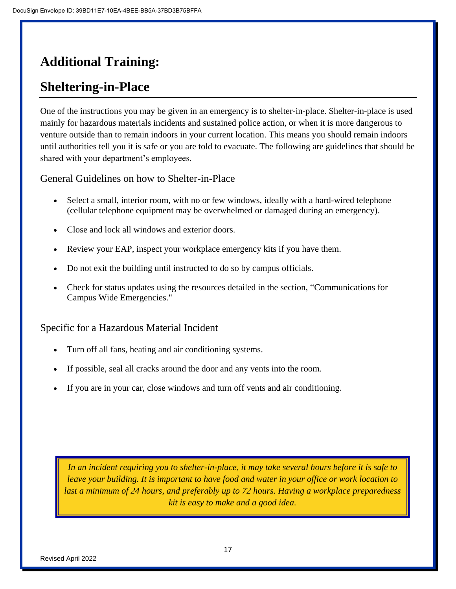# **Additional Training:**

# **Sheltering-in-Place**

One of the instructions you may be given in an emergency is to shelter-in-place. Shelter-in-place is used mainly for hazardous materials incidents and sustained police action, or when it is more dangerous to venture outside than to remain indoors in your current location. This means you should remain indoors until authorities tell you it is safe or you are told to evacuate. The following are guidelines that should be shared with your department's employees.

General Guidelines on how to Shelter-in-Place

- Select a small, interior room, with no or few windows, ideally with a hard-wired telephone (cellular telephone equipment may be overwhelmed or damaged during an emergency).
- Close and lock all windows and exterior doors.
- Review your EAP, inspect your workplace emergency kits if you have them.
- Do not exit the building until instructed to do so by campus officials.
- Check for status updates using the resources detailed in the section, "Communications for Campus Wide Emergencies."

Specific for a Hazardous Material Incident

- Turn off all fans, heating and air conditioning systems.
- If possible, seal all cracks around the door and any vents into the room.
- If you are in your car, close windows and turn off vents and air conditioning.

*In an incident requiring you to shelter-in-place, it may take several hours before it is safe to leave your building. It is important to have food and water in your office or work location to last a minimum of 24 hours, and preferably up to 72 hours. Having a workplace preparedness kit is easy to make and a good idea.*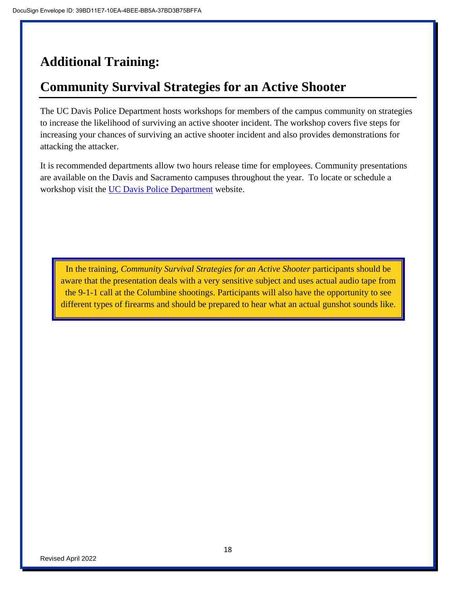# **Additional Training:**

# **Community Survival Strategies for an Active Shooter**

The UC Davis Police Department hosts workshops for members of the campus community on strategies to increase the likelihood of surviving an active shooter incident. The workshop covers five steps for increasing your chances of surviving an active shooter incident and also provides demonstrations for attacking the attacker.

It is recommended departments allow two hours release time for employees. Community presentations are available on the Davis and Sacramento campuses throughout the year. To locate or schedule a workshop visit the [UC Davis Police Department](https://police.sf.ucdavis.edu/active-shooter-survival-workshop) website.

In the training, *Community Survival Strategies for an Active Shooter* participants should be aware that the presentation deals with a very sensitive subject and uses actual audio tape from the 9-1-1 call at the Columbine shootings. Participants will also have the opportunity to see different types of firearms and should be prepared to hear what an actual gunshot sounds like.